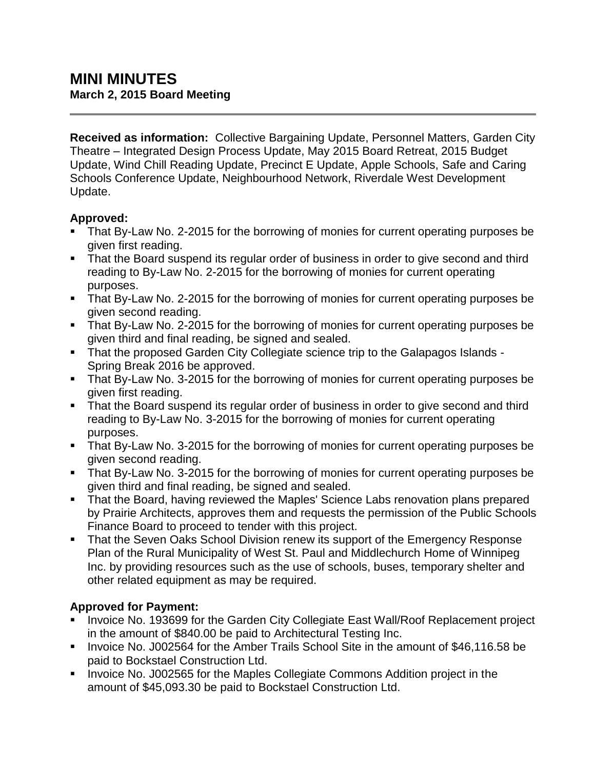**Received as information:** Collective Bargaining Update, Personnel Matters, Garden City Theatre – Integrated Design Process Update, May 2015 Board Retreat, 2015 Budget Update, Wind Chill Reading Update, Precinct E Update, Apple Schools, Safe and Caring Schools Conference Update, Neighbourhood Network, Riverdale West Development Update.

### **Approved:**

- That By-Law No. 2-2015 for the borrowing of monies for current operating purposes be given first reading.
- That the Board suspend its regular order of business in order to give second and third reading to By-Law No. 2-2015 for the borrowing of monies for current operating purposes.
- **That By-Law No. 2-2015 for the borrowing of monies for current operating purposes be** given second reading.
- That By-Law No. 2-2015 for the borrowing of monies for current operating purposes be given third and final reading, be signed and sealed.
- That the proposed Garden City Collegiate science trip to the Galapagos Islands -Spring Break 2016 be approved.
- That By-Law No. 3-2015 for the borrowing of monies for current operating purposes be given first reading.
- That the Board suspend its regular order of business in order to give second and third reading to By-Law No. 3-2015 for the borrowing of monies for current operating purposes.
- That By-Law No. 3-2015 for the borrowing of monies for current operating purposes be given second reading.
- That By-Law No. 3-2015 for the borrowing of monies for current operating purposes be given third and final reading, be signed and sealed.
- That the Board, having reviewed the Maples' Science Labs renovation plans prepared by Prairie Architects, approves them and requests the permission of the Public Schools Finance Board to proceed to tender with this project.
- That the Seven Oaks School Division renew its support of the Emergency Response Plan of the Rural Municipality of West St. Paul and Middlechurch Home of Winnipeg Inc. by providing resources such as the use of schools, buses, temporary shelter and other related equipment as may be required.

# **Approved for Payment:**

- **Invoice No. 193699 for the Garden City Collegiate East Wall/Roof Replacement project** in the amount of \$840.00 be paid to Architectural Testing Inc.
- **Invoice No. J002564 for the Amber Trails School Site in the amount of \$46,116.58 be** paid to Bockstael Construction Ltd.
- **IDED** Invoice No. J002565 for the Maples Collegiate Commons Addition project in the amount of \$45,093.30 be paid to Bockstael Construction Ltd.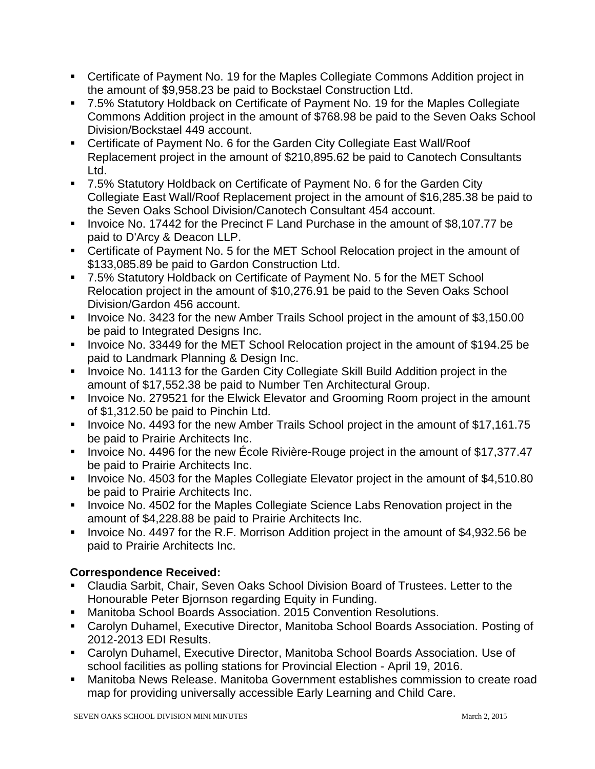- Certificate of Payment No. 19 for the Maples Collegiate Commons Addition project in the amount of \$9,958.23 be paid to Bockstael Construction Ltd.
- 7.5% Statutory Holdback on Certificate of Payment No. 19 for the Maples Collegiate Commons Addition project in the amount of \$768.98 be paid to the Seven Oaks School Division/Bockstael 449 account.
- Certificate of Payment No. 6 for the Garden City Collegiate East Wall/Roof Replacement project in the amount of \$210,895.62 be paid to Canotech Consultants Ltd.
- 7.5% Statutory Holdback on Certificate of Payment No. 6 for the Garden City Collegiate East Wall/Roof Replacement project in the amount of \$16,285.38 be paid to the Seven Oaks School Division/Canotech Consultant 454 account.
- Invoice No. 17442 for the Precinct F Land Purchase in the amount of \$8,107.77 be paid to D'Arcy & Deacon LLP.
- Certificate of Payment No. 5 for the MET School Relocation project in the amount of \$133,085.89 be paid to Gardon Construction Ltd.
- 7.5% Statutory Holdback on Certificate of Payment No. 5 for the MET School Relocation project in the amount of \$10,276.91 be paid to the Seven Oaks School Division/Gardon 456 account.
- Invoice No. 3423 for the new Amber Trails School project in the amount of \$3,150.00 be paid to Integrated Designs Inc.
- Invoice No. 33449 for the MET School Relocation project in the amount of \$194.25 be paid to Landmark Planning & Design Inc.
- **Invoice No. 14113 for the Garden City Collegiate Skill Build Addition project in the** amount of \$17,552.38 be paid to Number Ten Architectural Group.
- **IDED** Invoice No. 279521 for the Elwick Elevator and Grooming Room project in the amount of \$1,312.50 be paid to Pinchin Ltd.
- Invoice No. 4493 for the new Amber Trails School project in the amount of \$17,161.75 be paid to Prairie Architects Inc.
- Invoice No. 4496 for the new École Rivière-Rouge project in the amount of \$17,377.47 be paid to Prairie Architects Inc.
- Invoice No. 4503 for the Maples Collegiate Elevator project in the amount of \$4,510.80 be paid to Prairie Architects Inc.
- **Invoice No. 4502 for the Maples Collegiate Science Labs Renovation project in the** amount of \$4,228.88 be paid to Prairie Architects Inc.
- Invoice No. 4497 for the R.F. Morrison Addition project in the amount of \$4,932.56 be paid to Prairie Architects Inc.

# **Correspondence Received:**

- Claudia Sarbit, Chair, Seven Oaks School Division Board of Trustees. Letter to the Honourable Peter Bjornson regarding Equity in Funding.
- Manitoba School Boards Association. 2015 Convention Resolutions.
- Carolyn Duhamel, Executive Director, Manitoba School Boards Association. Posting of 2012-2013 EDI Results.
- Carolyn Duhamel, Executive Director, Manitoba School Boards Association. Use of school facilities as polling stations for Provincial Election - April 19, 2016.
- Manitoba News Release. Manitoba Government establishes commission to create road map for providing universally accessible Early Learning and Child Care.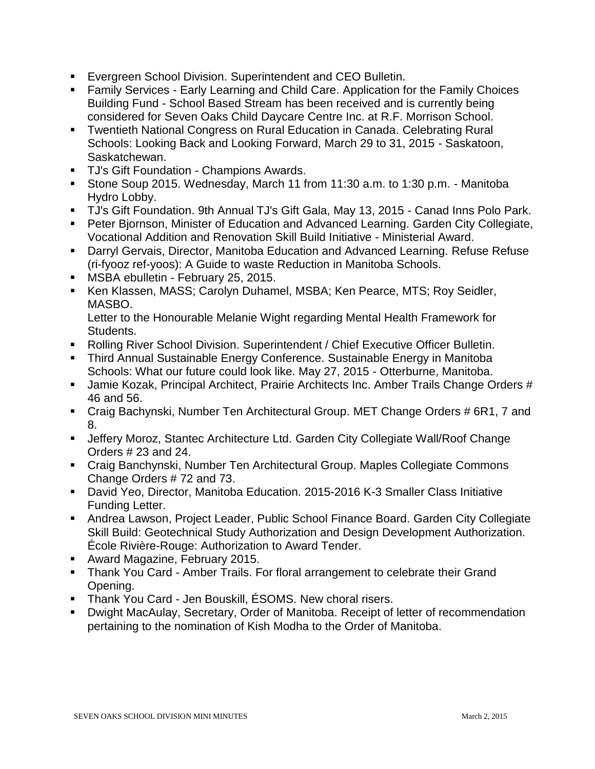- **Evergreen School Division. Superintendent and CEO Bulletin.**
- Family Services Early Learning and Child Care. Application for the Family Choices Building Fund - School Based Stream has been received and is currently being considered for Seven Oaks Child Daycare Centre Inc. at R.F. Morrison School.
- Twentieth National Congress on Rural Education in Canada. Celebrating Rural Schools: Looking Back and Looking Forward, March 29 to 31, 2015 - Saskatoon, Saskatchewan.
- TJ's Gift Foundation Champions Awards.
- Stone Soup 2015. Wednesday, March 11 from 11:30 a.m. to 1:30 p.m. Manitoba Hydro Lobby.
- TJ's Gift Foundation. 9th Annual TJ's Gift Gala, May 13, 2015 Canad Inns Polo Park.
- **Peter Bjornson, Minister of Education and Advanced Learning. Garden City Collegiate,** Vocational Addition and Renovation Skill Build Initiative - Ministerial Award.
- Darryl Gervais, Director, Manitoba Education and Advanced Learning. Refuse Refuse (ri-fyooz ref-yoos): A Guide to waste Reduction in Manitoba Schools.
- **MSBA ebulletin February 25, 2015.**
- Ken Klassen, MASS; Carolyn Duhamel, MSBA; Ken Pearce, MTS; Roy Seidler, MASBO.

Letter to the Honourable Melanie Wight regarding Mental Health Framework for Students.

- Rolling River School Division. Superintendent / Chief Executive Officer Bulletin.
- Third Annual Sustainable Energy Conference. Sustainable Energy in Manitoba Schools: What our future could look like. May 27, 2015 - Otterburne, Manitoba.
- **Jamie Kozak, Principal Architect, Prairie Architects Inc. Amber Trails Change Orders #** 46 and 56.
- Craig Bachynski, Number Ten Architectural Group. MET Change Orders # 6R1, 7 and 8.
- Jeffery Moroz, Stantec Architecture Ltd. Garden City Collegiate Wall/Roof Change Orders # 23 and 24.
- Craig Banchynski, Number Ten Architectural Group. Maples Collegiate Commons Change Orders # 72 and 73.
- David Yeo, Director, Manitoba Education. 2015-2016 K-3 Smaller Class Initiative Funding Letter.
- Andrea Lawson, Project Leader, Public School Finance Board. Garden City Collegiate Skill Build: Geotechnical Study Authorization and Design Development Authorization. École Rivière-Rouge: Authorization to Award Tender.
- **Award Magazine, February 2015.**
- **Thank You Card Amber Trails. For floral arrangement to celebrate their Grand** Opening.
- Thank You Card Jen Bouskill, ÉSOMS. New choral risers.
- Dwight MacAulay, Secretary, Order of Manitoba. Receipt of letter of recommendation pertaining to the nomination of Kish Modha to the Order of Manitoba.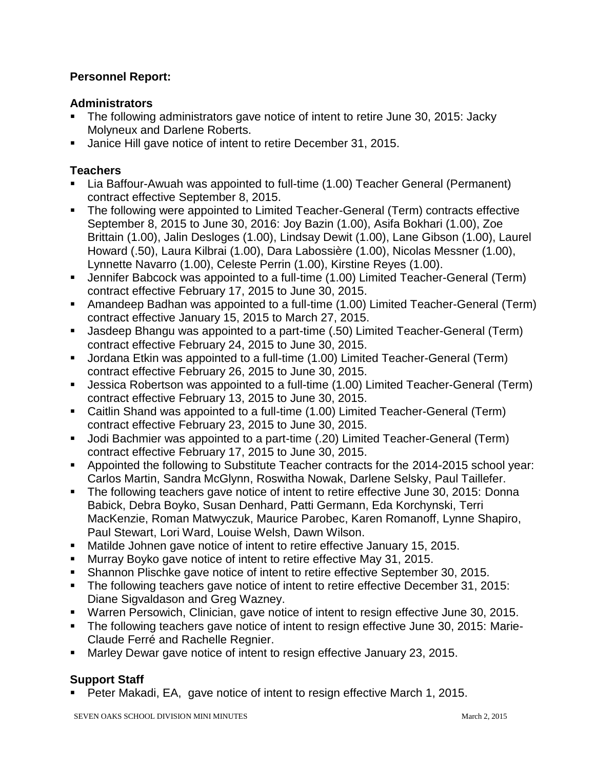#### **Personnel Report:**

#### **Administrators**

- The following administrators gave notice of intent to retire June 30, 2015: Jacky Molyneux and Darlene Roberts.
- Janice Hill gave notice of intent to retire December 31, 2015.

#### **Teachers**

- Lia Baffour-Awuah was appointed to full-time (1.00) Teacher General (Permanent) contract effective September 8, 2015.
- The following were appointed to Limited Teacher-General (Term) contracts effective September 8, 2015 to June 30, 2016: Joy Bazin (1.00), Asifa Bokhari (1.00), Zoe Brittain (1.00), Jalin Desloges (1.00), Lindsay Dewit (1.00), Lane Gibson (1.00), Laurel Howard (.50), Laura Kilbrai (1.00), Dara Labossière (1.00), Nicolas Messner (1.00), Lynnette Navarro (1.00), Celeste Perrin (1.00), Kirstine Reyes (1.00).
- Jennifer Babcock was appointed to a full-time (1.00) Limited Teacher-General (Term) contract effective February 17, 2015 to June 30, 2015.
- Amandeep Badhan was appointed to a full-time (1.00) Limited Teacher-General (Term) contract effective January 15, 2015 to March 27, 2015.
- Jasdeep Bhangu was appointed to a part-time (.50) Limited Teacher-General (Term) contract effective February 24, 2015 to June 30, 2015.
- Jordana Etkin was appointed to a full-time (1.00) Limited Teacher-General (Term) contract effective February 26, 2015 to June 30, 2015.
- Jessica Robertson was appointed to a full-time (1.00) Limited Teacher-General (Term) contract effective February 13, 2015 to June 30, 2015.
- Caitlin Shand was appointed to a full-time (1.00) Limited Teacher-General (Term) contract effective February 23, 2015 to June 30, 2015.
- Jodi Bachmier was appointed to a part-time (.20) Limited Teacher-General (Term) contract effective February 17, 2015 to June 30, 2015.
- Appointed the following to Substitute Teacher contracts for the 2014-2015 school year: Carlos Martin, Sandra McGlynn, Roswitha Nowak, Darlene Selsky, Paul Taillefer.
- The following teachers gave notice of intent to retire effective June 30, 2015: Donna Babick, Debra Boyko, Susan Denhard, Patti Germann, Eda Korchynski, Terri MacKenzie, Roman Matwyczuk, Maurice Parobec, Karen Romanoff, Lynne Shapiro, Paul Stewart, Lori Ward, Louise Welsh, Dawn Wilson.
- Matilde Johnen gave notice of intent to retire effective January 15, 2015.
- Murray Boyko gave notice of intent to retire effective May 31, 2015.
- Shannon Plischke gave notice of intent to retire effective September 30, 2015.
- The following teachers gave notice of intent to retire effective December 31, 2015: Diane Sigvaldason and Greg Wazney.
- Warren Persowich, Clinician, gave notice of intent to resign effective June 30, 2015.
- The following teachers gave notice of intent to resign effective June 30, 2015: Marie-Claude Ferré and Rachelle Regnier.
- Marley Dewar gave notice of intent to resign effective January 23, 2015.

### **Support Staff**

■ Peter Makadi, EA, gave notice of intent to resign effective March 1, 2015.